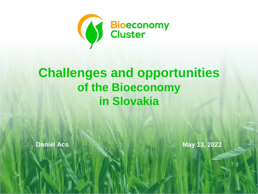

# **Challenges and opportunities of the Bioeconomy in Slovakia**

**Daniel Acs May 13, 2022**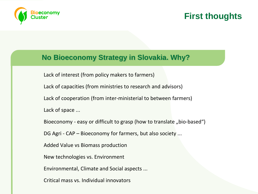

### **First thoughts**

#### **No Bioeconomy Strategy in Slovakia. Why?**

Lack of interest (from policy makers to farmers)

Lack of capacities (from ministries to research and advisors)

Lack of cooperation (from inter-ministerial to between farmers)

Lack of space ...

Bioeconomy - easy or difficult to grasp (how to translate "bio-based")

DG Agri - CAP – Bioeconomy for farmers, but also society ...

Added Value vs Biomass production

New technologies vs. Environment

Environmental, Climate and Social aspects ...

Critical mass vs. Individual innovators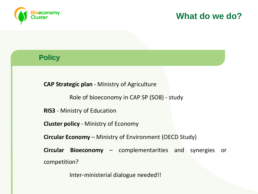

### **Policy**

**CAP Strategic plan** - Ministry of Agriculture

Role of bioeconomy in CAP SP (SO8) - study

**RIS3** - Ministry of Education

**Cluster policy** - Ministry of Economy

**Circular Economy** – Ministry of Environment (OECD Study)

**Circular Bioeconomy** – complementarities and synergies or competition?

Inter-ministerial dialogue needed!!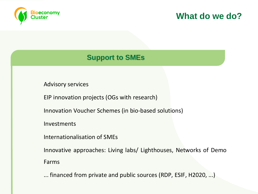

### **Support to SMEs**

Advisory services

EIP innovation projects (OGs with research)

Innovation Voucher Schemes (in bio-based solutions)

Investments

Internationalisation of SMEs

Innovative approaches: Living labs/ Lighthouses, Networks of Demo Farms

... financed from private and public sources (RDP, ESIF, H2020, ...)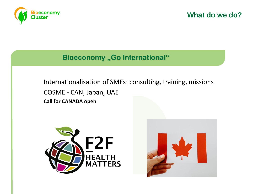

#### **Bioeconomy "Go International"**

Internationalisation of SMEs: consulting, training, missions COSME - CAN, Japan, UAE **Call for CANADA open**



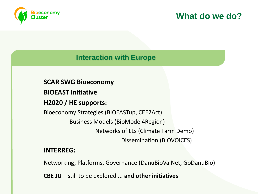

#### **Interaction with Europe**

**SCAR SWG Bioeconomy**

**BIOEAST Initiative**

**H2020 / HE supports:**

Bioeconomy Strategies (BIOEASTup, CEE2Act) Business Models (BioModel4Region) Networks of LLs (Climate Farm Demo) Dissemination (BIOVOICES)

#### **INTERREG:**

Networking, Platforms, Governance (DanuBioValNet, GoDanuBio)

**CBE JU** – still to be explored ... **and other initiatives**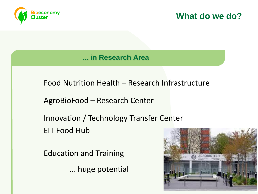

**... in Research Area**

Food Nutrition Health – Research Infrastructure

AgroBioFood – Research Center

Innovation / Technology Transfer Center EIT Food Hub

Education and Training

... huge potential

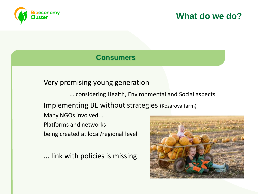

#### **Consumers**

### Very promising young generation

... considering Health, Environmental and Social aspects

Implementing BE without strategies (Kozarova farm)

Many NGOs involved...

Platforms and networks being created at local/regional level

... link with policies is missing